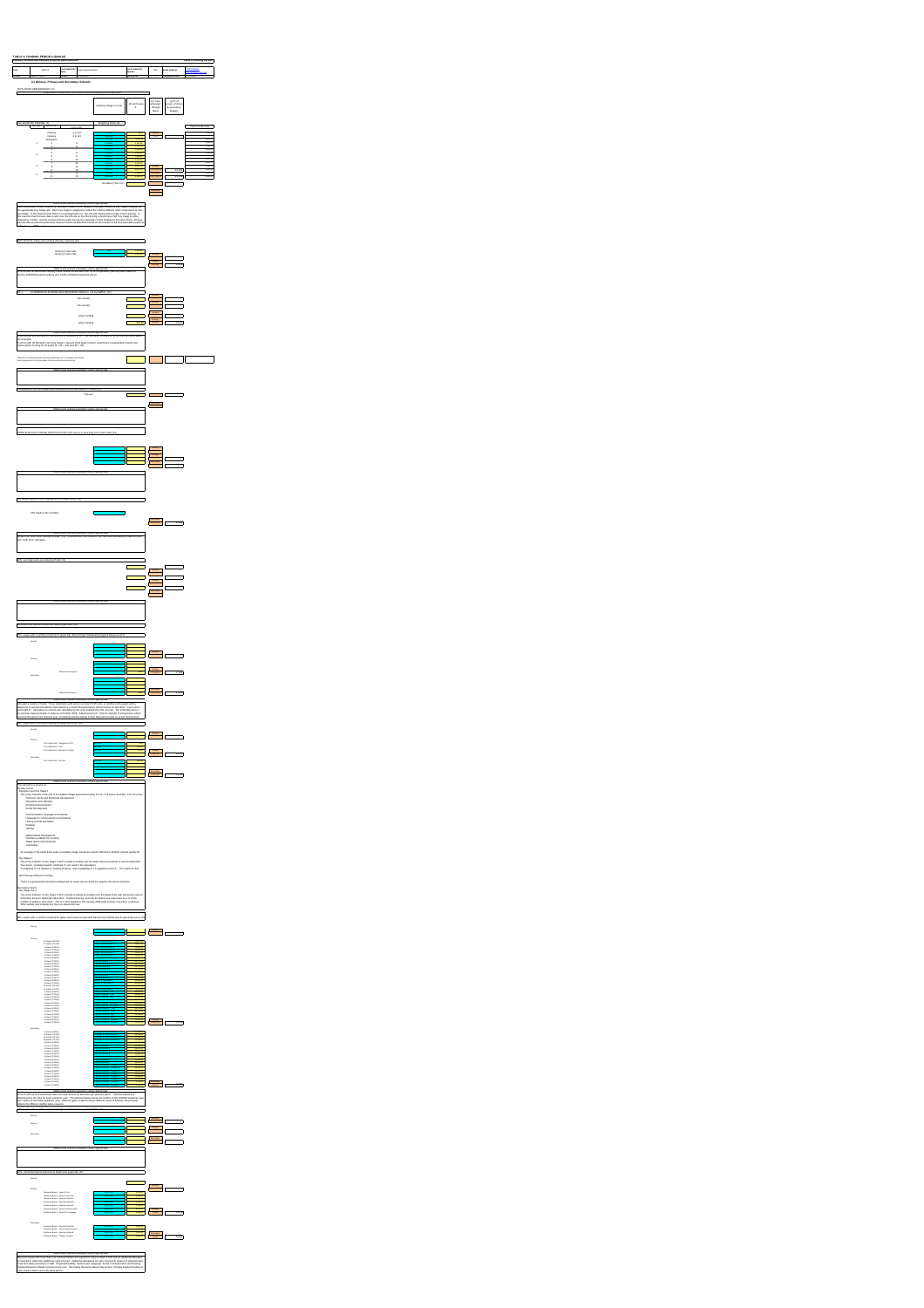